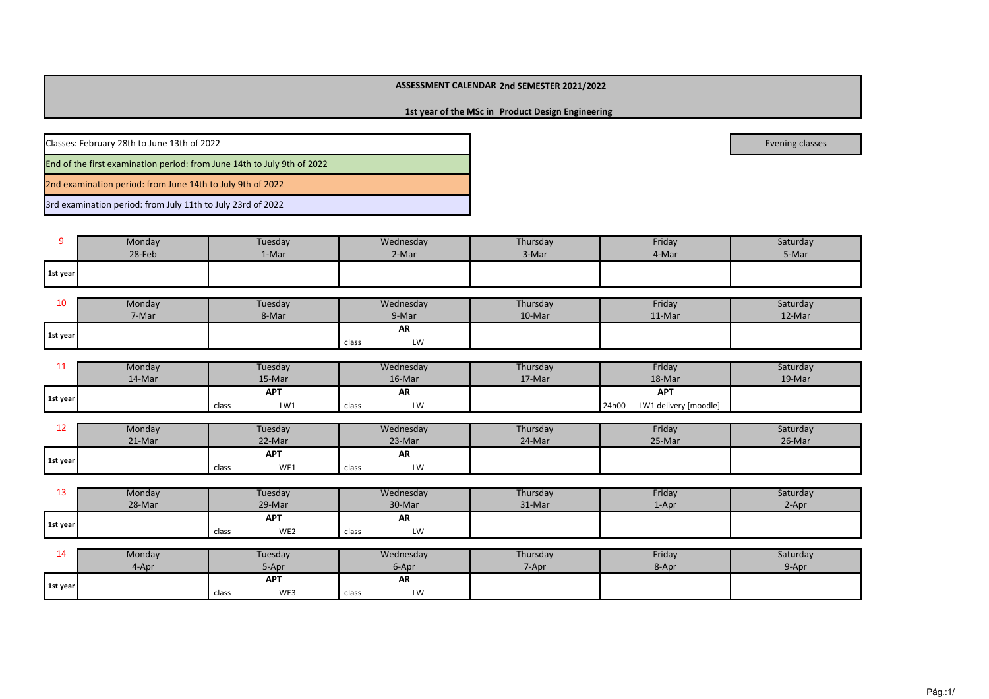**1st year of the MSc in Product Design Engineering** 

Classes: February 28th to June 13th of 2022

End of the first examination period: from June 14th to July 9th of 2022

2nd examination period: from June 14th to July 9th of 2022

3rd examination period: from July 11th to July 23rd of 2022

94-Mar 5-Mar **1st year**Monday Tuesday Wednesday Thursday Friday Saturday28-Feb 1-Mar 1-Mar 2-Mar 2-Mar 3-Mar

| 10         | Monday | Tuesday | Wednesday   | Thursday | Friday | Saturday |
|------------|--------|---------|-------------|----------|--------|----------|
|            | 7-Mar  | 8-Mar   | 9-Mar       | 10-Mar   | 11-Mar | 12-Mar   |
| 1 1st year |        |         | AR          |          |        |          |
|            |        |         | LW<br>class |          |        |          |

| . .      | Monday | Tuesday      | Wednesday   | Friday<br>Thursday |                                | Saturday |
|----------|--------|--------------|-------------|--------------------|--------------------------------|----------|
|          | 14-Mar | 15-Mar       | 16-Mar      | 17-Mar             | 18-Mar                         | 19-Mar   |
| 1st year |        | <b>APT</b>   | AR          |                    | <b>APT</b>                     |          |
|          |        | LW1<br>class | LW<br>class |                    | LW1 delivery [moodle]<br>24h00 |          |

| --       | Monday | Tuesdav                    | Wednesday         | Thursday | Friday | Saturday |
|----------|--------|----------------------------|-------------------|----------|--------|----------|
|          | 21-Mar | 22-Mar                     | 23-Mar            | 24-Mar   | 25-Mar | 26-Mar   |
| 1st year |        | <b>APT</b><br>WE1<br>class | AR<br>LW<br>class |          |        |          |

| --       | Monday | Tuesday      | Wednesday   | Thursday | Friday    | Saturday |
|----------|--------|--------------|-------------|----------|-----------|----------|
|          | 28-Mar | 29-Mar       | 30-Mar      | 31-Mar   | $1 -$ Apr | 2-Apr    |
| 1st year |        | <b>APT</b>   | AR          |          |           |          |
|          |        | WE2<br>class | LW<br>class |          |           |          |

| ᆠ        | Monday | Tuesday      | Wednesday   | Thursday  | Friday | Saturday |
|----------|--------|--------------|-------------|-----------|--------|----------|
|          | 4-Apr  | 5-Apr        | 6-Apr       | $7 - Apr$ | 8-Apr  | 9-Apr    |
| 1st year |        | <b>APT</b>   | AR          |           |        |          |
|          |        | WE3<br>class | LW<br>class |           |        |          |

evening classes and the contract of the contract of the contract of the contract of the contract of the contract of the contract of the contract of the contract of the contract of the contract of the contract of the contra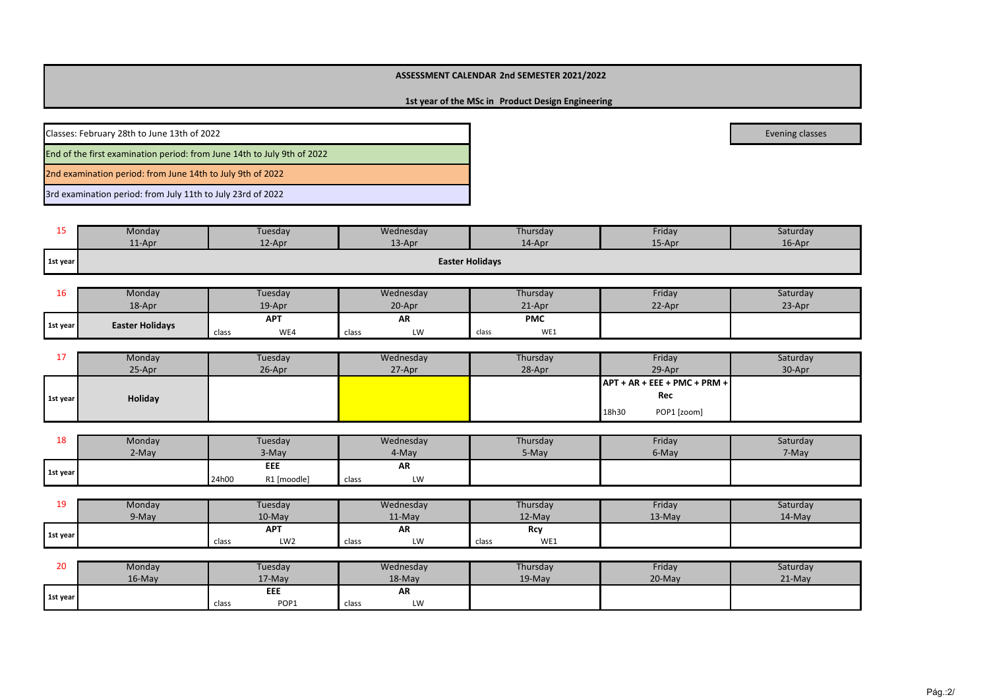# **1st year of the MSc in Product Design Engineering**

Classes: February 28th to June 13th of 2022evening classes and the contract of the contract of the contract of the contract of the contract of the contract of the contract of the contract of the contract of the contract of the contract of the contract of the contra End of the first examination period: from June 14th to July 9th of 20222nd examination period: from June 14th to July 9th of 20223rd examination period: from July 11th to July 23rd of 2022

| --       | Monday | Tuesday   | Wednesday | Thursday               | Friday | Saturday  |  |
|----------|--------|-----------|-----------|------------------------|--------|-----------|--|
|          | 11-Apr | $12$ -Apr | $13-Apr$  | 14-Apr                 | 15-Apr | $16$ -Apr |  |
| 1st year |        |           |           | <b>Easter Holidays</b> |        |           |  |

| τo       | Monday                 | Tuesdav      | Wednesday   | Thursday     | Friday | Saturday |
|----------|------------------------|--------------|-------------|--------------|--------|----------|
|          | 18-Apr                 | 19-Apr       | 20-Apr      | 21-Apr       | 22-Apr | 23-Apr   |
| 1st year | <b>Easter Holidays</b> | <b>APT</b>   | AR          | <b>PMC</b>   |        |          |
|          |                        | WE4<br>class | LW<br>class | WE1<br>class |        |          |

| . .      | Monday  | Tuesday | Wednesday | Thursday | Friday                               | Saturday |
|----------|---------|---------|-----------|----------|--------------------------------------|----------|
|          | 25-Apr  | 26-Apr  | 27-Apr    | 28-Apr   | 29-Apr                               | 30-Apr   |
|          |         |         |           |          | $\vert$ APT + AR + EEE + PMC + PRM + |          |
| 1st year | Holiday |         |           |          | Rec                                  |          |
|          |         |         |           |          | POP1 [zoom]<br>18h30                 |          |

| ᅟᅩᅌ      | Monday<br>Tuesday |                      | Wednesday   | Thursday | Friday | Saturday |
|----------|-------------------|----------------------|-------------|----------|--------|----------|
|          | 2-May             | 3-May                | 4-Mav       | 5-May    | 6-May  | 7-May    |
| 1st year |                   | EEE                  | AR          |          |        |          |
|          |                   | R1 [moodle]<br>24h00 | LW<br>class |          |        |          |

| 1 O<br>-- | Monday | Tuesdav |                 | Wednesday |        | Thursday |          | Friday   | Saturday |
|-----------|--------|---------|-----------------|-----------|--------|----------|----------|----------|----------|
|           | 9-May  |         | 10-May          |           | 11-May |          | $12-May$ | $13-Mav$ | 14-May   |
|           |        |         | <b>APT</b>      |           | AR     |          | Rcy      |          |          |
| 1st year  |        | class   | LW <sub>2</sub> | class     | LW     | class    | WE1      |          |          |

| 20       | Monday    | Tuesday |        | Wednesday |        | Thursday  | Friday   | Saturday |
|----------|-----------|---------|--------|-----------|--------|-----------|----------|----------|
|          | $16$ -May |         | 17-May |           | 18-May | $19$ -May | $20-May$ | $21-Mav$ |
| 1st year |           |         | EEE    |           | AR     |           |          |          |
|          |           | class   | POP1   | class     | LW     |           |          |          |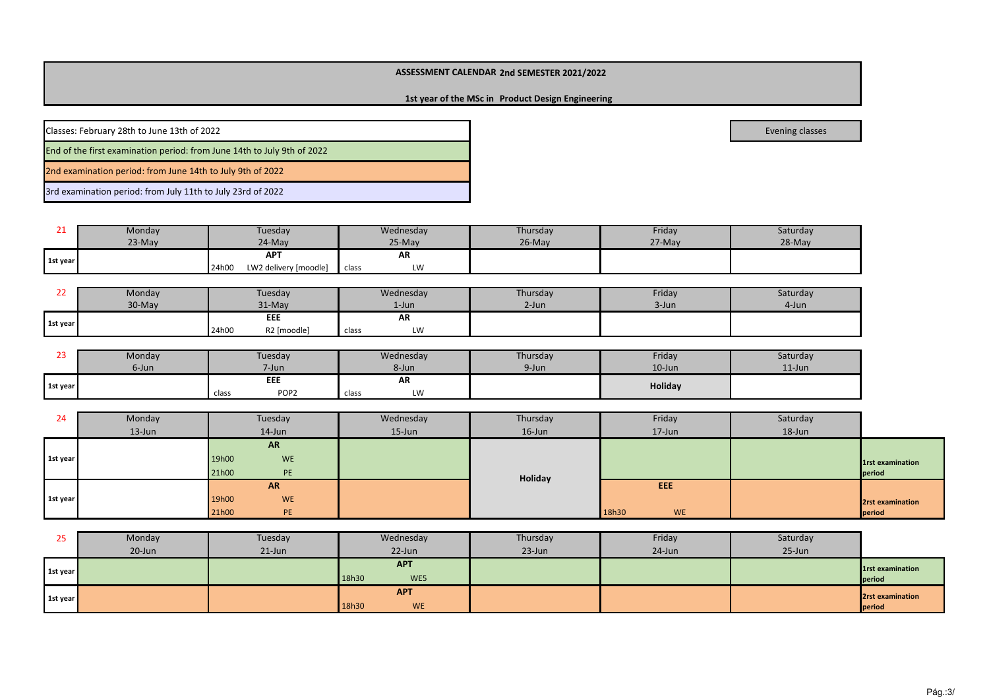# **Product Design Engineering1st year of the MSc in**

Classes: February 28th to June 13th of 2022

End of the first examination period: from June 14th to July 9th of 2022

2nd examination period: from June 14th to July 9th of 2022

3rd examination period: from July 11th to July 23rd of 2022

| --       | Monday   | Tuesday                        | Wednesday   | Thursday | Friday | Saturday |
|----------|----------|--------------------------------|-------------|----------|--------|----------|
|          | $23-May$ | 24-May                         | 25-May      | 26-May   | 27-May | 28-May   |
| 1st year |          | <b>APT</b>                     | AR          |          |        |          |
|          |          | LW2 delivery [moodle]<br>24h00 | LW<br>class |          |        |          |

| __       | Monday |       | Tuesday     |       | Wednesday | Thursday | Friday | Saturday |
|----------|--------|-------|-------------|-------|-----------|----------|--------|----------|
|          | 30-May |       | 31-May      |       | 1-Jun     | $2$ -Jun | 3-Jun  | 4-Jun    |
| 1st year |        |       | EEE         |       | AR        |          |        |          |
|          |        | 24h00 | R2 [moodle] | class | LW        |          |        |          |

| --       | Monday | Tuesday                   | Wednesday   | Thursday | Friday    | Saturday  |
|----------|--------|---------------------------|-------------|----------|-----------|-----------|
|          | 6-Jun  | 7-Jun                     | 8-Jun       | 9-Jun    | $10$ -Jun | $11$ -Jun |
| 1st year |        | EEE                       | AR          |          | Holiday   |           |
|          |        | POP <sub>2</sub><br>class | LW<br>class |          |           |           |

| 24       | Monday     | Tuesday            | Wednesday  | Thursday  | Friday             | Saturday |                  |
|----------|------------|--------------------|------------|-----------|--------------------|----------|------------------|
|          | $13 - Jun$ | 14-Jun             | $15 - Jun$ | $16$ -Jun | 17-Jun             | 18-Jun   |                  |
|          |            | <b>AR</b>          |            |           |                    |          |                  |
| 1st year |            | 19h00<br>WE        |            |           |                    |          | 1rst examination |
|          |            | 21h00<br>PE        |            | Holiday   |                    |          | period           |
|          |            | <b>AR</b>          |            |           | EEE                |          |                  |
| 1st year |            | 19h00<br><b>WE</b> |            |           |                    |          | 2rst examination |
|          |            | 21h00<br>PE        |            |           | 18h30<br><b>WE</b> |          | period           |

| رے       | Monday    | Tuesday   | Wednesday                        | Thursday  | Friday | Saturday   |                            |
|----------|-----------|-----------|----------------------------------|-----------|--------|------------|----------------------------|
|          | $20$ -Jun | $21$ -Jun | $22$ -Jun                        | $23$ -Jun | 24-Jun | $25 - Jun$ |                            |
| 1st year |           |           | <b>APT</b><br>18h30<br>WE5       |           |        |            | 1rst examination<br>period |
| 1st year |           |           | <b>APT</b><br>18h30<br><b>WE</b> |           |        |            | 2rst examination<br>period |

evening classes and the contract of the contract of the contract of the contract of the contract of the contract of the contract of the contract of the contract of the contract of the contract of the contract of the contra

Pág.:3/